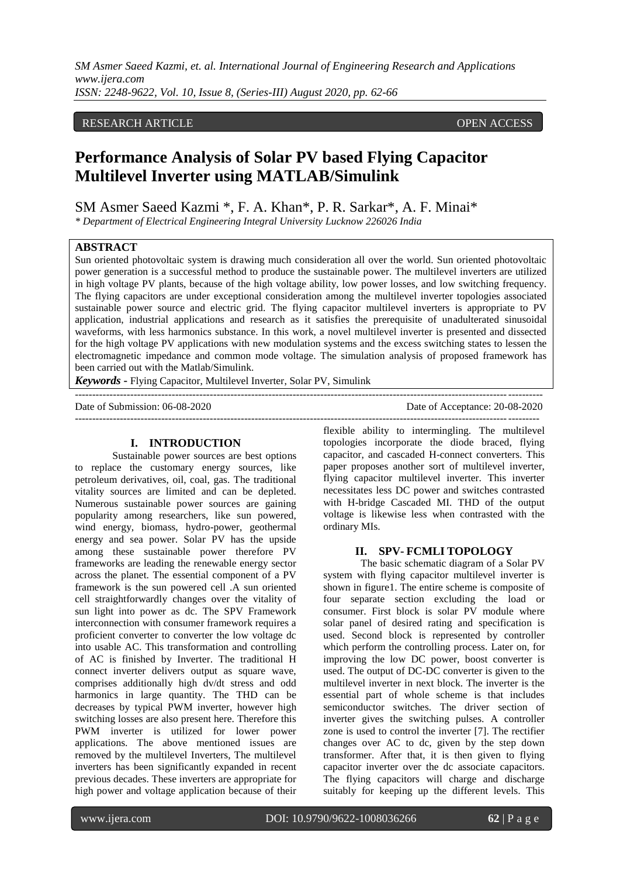# RESEARCH ARTICLE **ARTICLE** AND **CONSTRUCTER** OPEN ACCESS OPEN ACCESS OPEN ACCESS OPEN ACCESS OPEN ACCESS OF A STREET AND A STREET AND A STREET AND A STREET AND A STREET AND A STREET AND A STREET AND A STREET AND A STREET A

# **Performance Analysis of Solar PV based Flying Capacitor Multilevel Inverter using MATLAB/Simulink**

SM Asmer Saeed Kazmi \*, F. A. Khan\*, P. R. Sarkar\*, A. F. Minai\*

*\* Department of Electrical Engineering Integral University Lucknow 226026 India*

## **ABSTRACT**

Sun oriented photovoltaic system is drawing much consideration all over the world. Sun oriented photovoltaic power generation is a successful method to produce the sustainable power. The multilevel inverters are utilized in high voltage PV plants, because of the high voltage ability, low power losses, and low switching frequency. The flying capacitors are under exceptional consideration among the multilevel inverter topologies associated sustainable power source and electric grid. The flying capacitor multilevel inverters is appropriate to PV application, industrial applications and research as it satisfies the prerequisite of unadulterated sinusoidal waveforms, with less harmonics substance. In this work, a novel multilevel inverter is presented and dissected for the high voltage PV applications with new modulation systems and the excess switching states to lessen the electromagnetic impedance and common mode voltage. The simulation analysis of proposed framework has been carried out with the Matlab/Simulink.

---------------------------------------------------------------------------------------------------------------------------------------

*Keywords* **-** Flying Capacitor, Multilevel Inverter, Solar PV, Simulink

Date of Submission: 06-08-2020 Date of Acceptance: 20-08-2020

## **I. INTRODUCTION**

Sustainable power sources are best options to replace the customary energy sources, like petroleum derivatives, oil, coal, gas. The traditional vitality sources are limited and can be depleted. Numerous sustainable power sources are gaining popularity among researchers, like sun powered, wind energy, biomass, hydro-power, geothermal energy and sea power. Solar PV has the upside among these sustainable power therefore PV frameworks are leading the renewable energy sector across the planet. The essential component of a PV framework is the sun powered cell .A sun oriented cell straightforwardly changes over the vitality of sun light into power as dc. The SPV Framework interconnection with consumer framework requires a proficient converter to converter the low voltage dc into usable AC. This transformation and controlling of AC is finished by Inverter. The traditional H connect inverter delivers output as square wave, comprises additionally high dv/dt stress and odd harmonics in large quantity. The THD can be decreases by typical PWM inverter, however high switching losses are also present here. Therefore this PWM inverter is utilized for lower power applications. The above mentioned issues are removed by the multilevel Inverters, The multilevel inverters has been significantly expanded in recent previous decades. These inverters are appropriate for high power and voltage application because of their

flexible ability to intermingling. The multilevel topologies incorporate the diode braced, flying capacitor, and cascaded H-connect converters. This paper proposes another sort of multilevel inverter, flying capacitor multilevel inverter. This inverter necessitates less DC power and switches contrasted with H-bridge Cascaded MI. THD of the output voltage is likewise less when contrasted with the ordinary MIs.

--------------------------------------------------------------------------------------------------------------------------------------

#### **II. SPV- FCMLI TOPOLOGY**

The basic schematic diagram of a Solar PV system with flying capacitor multilevel inverter is shown in figure1. The entire scheme is composite of four separate section excluding the load or consumer. First block is solar PV module where solar panel of desired rating and specification is used. Second block is represented by controller which perform the controlling process. Later on, for improving the low DC power, boost converter is used. The output of DC-DC converter is given to the multilevel inverter in next block. The inverter is the essential part of whole scheme is that includes semiconductor switches. The driver section of inverter gives the switching pulses. A controller zone is used to control the inverter [7]. The rectifier changes over AC to dc, given by the step down transformer. After that, it is then given to flying capacitor inverter over the dc associate capacitors. The flying capacitors will charge and discharge suitably for keeping up the different levels. This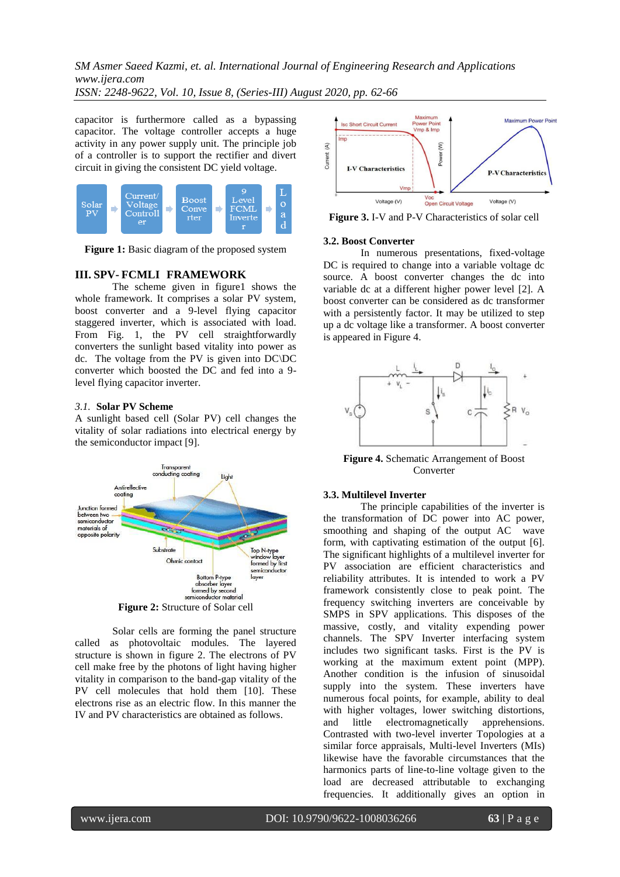*SM Asmer Saeed Kazmi, et. al. International Journal of Engineering Research and Applications www.ijera.com*

*ISSN: 2248-9622, Vol. 10, Issue 8, (Series-III) August 2020, pp. 62-66*

capacitor is furthermore called as a bypassing capacitor. The voltage controller accepts a huge activity in any power supply unit. The principle job of a controller is to support the rectifier and divert circuit in giving the consistent DC yield voltage.



**Figure 1:** Basic diagram of the proposed system

# **III. SPV- FCMLI FRAMEWORK**

The scheme given in figure1 shows the whole framework. It comprises a solar PV system, boost converter and a 9-level flying capacitor staggered inverter, which is associated with load. From Fig. 1, the PV cell straightforwardly converters the sunlight based vitality into power as dc. The voltage from the PV is given into DC\DC converter which boosted the DC and fed into a 9 level flying capacitor inverter.

# *3.1.* **Solar PV Scheme**

A sunlight based cell (Solar PV) cell changes the vitality of solar radiations into electrical energy by the semiconductor impact [9].



**Figure 2:** Structure of Solar cell

Solar cells are forming the panel structure called as photovoltaic modules. The layered structure is shown in figure 2. The electrons of PV cell make free by the photons of light having higher vitality in comparison to the band-gap vitality of the PV cell molecules that hold them [10]. These electrons rise as an electric flow. In this manner the IV and PV characteristics are obtained as follows.



**Figure 3.** I-V and P-V Characteristics of solar cell

# **3.2. Boost Converter**

In numerous presentations, fixed-voltage DC is required to change into a variable voltage dc source. A boost converter changes the dc into variable dc at a different higher power level [2]. A boost converter can be considered as dc transformer with a persistently factor. It may be utilized to step up a dc voltage like a transformer. A boost converter is appeared in Figure 4.



**Figure 4.** Schematic Arrangement of Boost Converter

# **3.3. Multilevel Inverter**

The principle capabilities of the inverter is the transformation of DC power into AC power, smoothing and shaping of the output AC wave form, with captivating estimation of the output [6]. The significant highlights of a multilevel inverter for PV association are efficient characteristics and reliability attributes. It is intended to work a PV framework consistently close to peak point. The frequency switching inverters are conceivable by SMPS in SPV applications. This disposes of the massive, costly, and vitality expending power channels. The SPV Inverter interfacing system includes two significant tasks. First is the PV is working at the maximum extent point (MPP). Another condition is the infusion of sinusoidal supply into the system. These inverters have numerous focal points, for example, ability to deal with higher voltages, lower switching distortions, and little electromagnetically apprehensions. Contrasted with two-level inverter Topologies at a similar force appraisals, Multi-level Inverters (MIs) likewise have the favorable circumstances that the harmonics parts of line-to-line voltage given to the load are decreased attributable to exchanging frequencies. It additionally gives an option in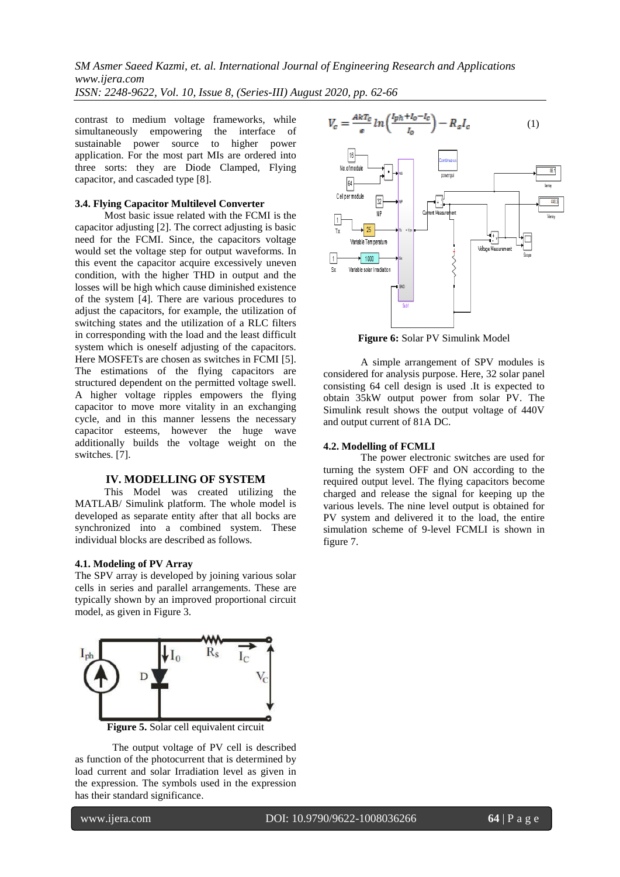contrast to medium voltage frameworks, while simultaneously empowering the interface of sustainable power source to higher power application. For the most part MIs are ordered into three sorts: they are Diode Clamped, Flying capacitor, and cascaded type [8].

## **3.4. Flying Capacitor Multilevel Converter**

Most basic issue related with the FCMI is the capacitor adjusting [2]. The correct adjusting is basic need for the FCMI. Since, the capacitors voltage would set the voltage step for output waveforms. In this event the capacitor acquire excessively uneven condition, with the higher THD in output and the losses will be high which cause diminished existence of the system [4]. There are various procedures to adjust the capacitors, for example, the utilization of switching states and the utilization of a RLC filters in corresponding with the load and the least difficult system which is oneself adjusting of the capacitors. Here MOSFETs are chosen as switches in FCMI [5]. The estimations of the flying capacitors are structured dependent on the permitted voltage swell. A higher voltage ripples empowers the flying capacitor to move more vitality in an exchanging cycle, and in this manner lessens the necessary capacitor esteems, however the huge wave additionally builds the voltage weight on the switches. [7].

#### **IV. MODELLING OF SYSTEM**

This Model was created utilizing the MATLAB/ Simulink platform. The whole model is developed as separate entity after that all bocks are synchronized into a combined system. These individual blocks are described as follows.

#### **4.1. Modeling of PV Array**

The SPV array is developed by joining various solar cells in series and parallel arrangements. These are typically shown by an improved proportional circuit model, as given in Figure 3.



**Figure 5.** Solar cell equivalent circuit

The output voltage of PV cell is described as function of the photocurrent that is determined by load current and solar Irradiation level as given in the expression. The symbols used in the expression has their standard significance.



**Figure 6:** Solar PV Simulink Model

A simple arrangement of SPV modules is considered for analysis purpose. Here, 32 solar panel consisting 64 cell design is used .It is expected to obtain 35kW output power from solar PV. The Simulink result shows the output voltage of 440V and output current of 81A DC.

#### **4.2. Modelling of FCMLI**

The power electronic switches are used for turning the system OFF and ON according to the required output level. The flying capacitors become charged and release the signal for keeping up the various levels. The nine level output is obtained for PV system and delivered it to the load, the entire simulation scheme of 9-level FCMLI is shown in figure 7.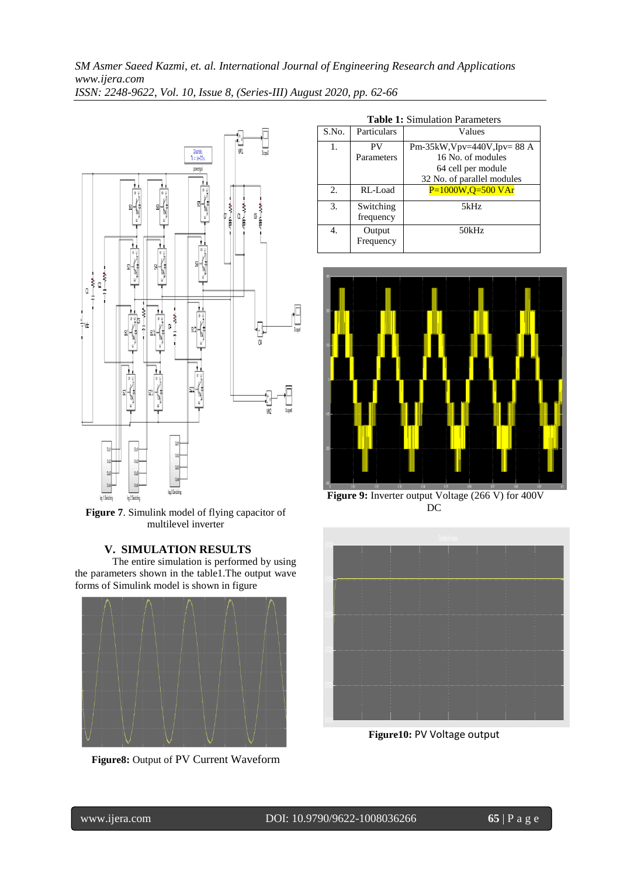

**Figure 7**. Simulink model of flying capacitor of multilevel inverter

# **V. SIMULATION RESULTS**

The entire simulation is performed by using the parameters shown in the table1.The output wave forms of Simulink model is shown in figure



**Figure8:** Output of PV Current Waveform

| <b>Table 1:</b> Simulation Parameters |                        |                                  |
|---------------------------------------|------------------------|----------------------------------|
| S.No.                                 | Particulars            | Values                           |
| 1.                                    | PV                     | Pm-35kW, $Vpv=440V$ , $Ipv=88$ A |
|                                       | Parameters             | 16 No. of modules                |
|                                       |                        | 64 cell per module               |
|                                       |                        | 32 No. of parallel modules       |
| 2.                                    | RL-Load                | $P=1000W, Q=500VAr$              |
| 3.                                    | Switching<br>frequency | 5kHz                             |
| 4.                                    | Output<br>Frequency    | 50kHz                            |





**Figure 9:** Inverter output Voltage (266 V) for 400V DC



**Figure10:** PV Voltage output